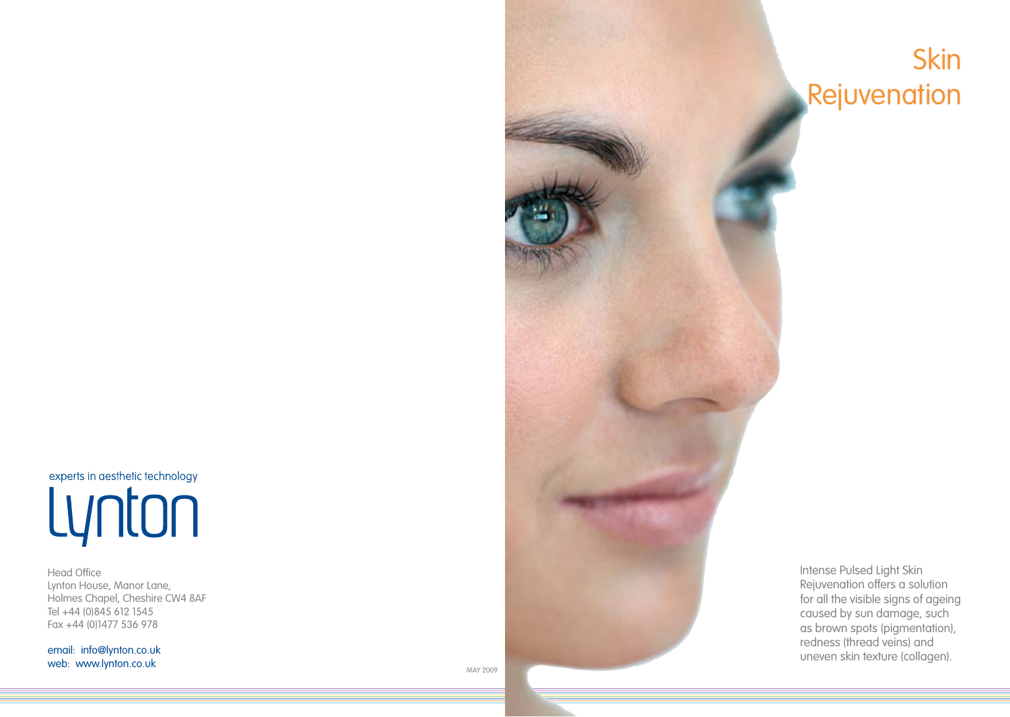experts in aesthetic technology Lynton

Head Office Lynton House, Manor Lane, Holmes Chapel, Cheshire CW4 8AF Tel +44 (0)845 612 1545 Fax +44 (0)1477 536 978

email: info@lynton.co.uk web: www.lynton.co.uk



Intense Pulsed Light Skin Rejuvenation offers a solution for all the visible signs of ageing caused by sun damage, such as brown spots (pigmentation), redness (thread veins) and

Skin

Rejuvenation